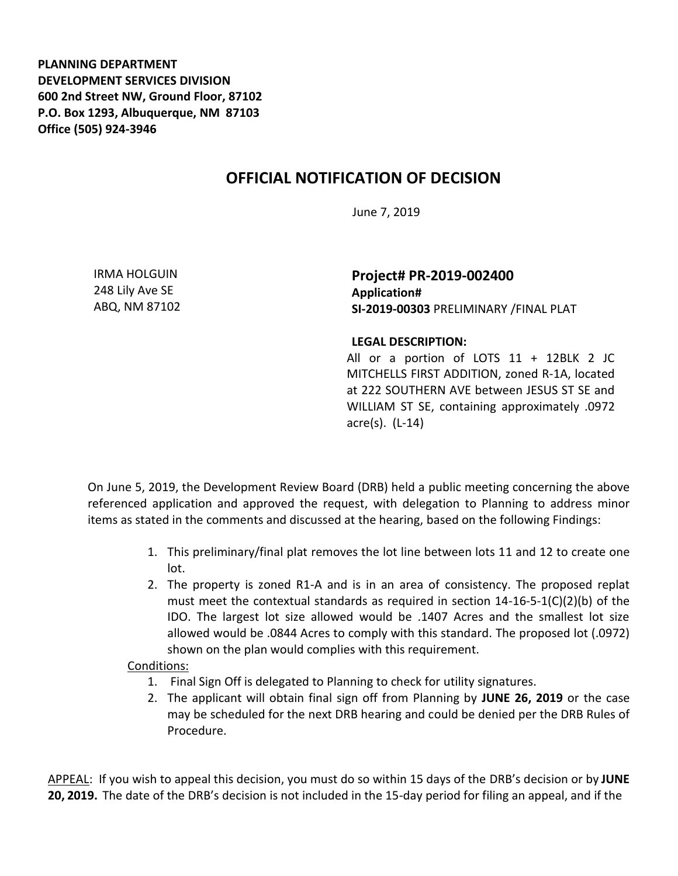**PLANNING DEPARTMENT DEVELOPMENT SERVICES DIVISION 600 2nd Street NW, Ground Floor, 87102 P.O. Box 1293, Albuquerque, NM 87103 Office (505) 924-3946** 

## **OFFICIAL NOTIFICATION OF DECISION**

June 7, 2019

IRMA HOLGUIN 248 Lily Ave SE ABQ, NM 87102 **Project# PR-2019-002400 Application# SI-2019-00303** PRELIMINARY /FINAL PLAT

## **LEGAL DESCRIPTION:**

All or a portion of LOTS  $11 + 12$ BLK 2 JC MITCHELLS FIRST ADDITION, zoned R-1A, located at 222 SOUTHERN AVE between JESUS ST SE and WILLIAM ST SE, containing approximately .0972 acre(s). (L-14)

On June 5, 2019, the Development Review Board (DRB) held a public meeting concerning the above referenced application and approved the request, with delegation to Planning to address minor items as stated in the comments and discussed at the hearing, based on the following Findings:

- 1. This preliminary/final plat removes the lot line between lots 11 and 12 to create one lot.
- 2. The property is zoned R1-A and is in an area of consistency. The proposed replat must meet the contextual standards as required in section  $14-16-5-1(C)(2)(b)$  of the IDO. The largest lot size allowed would be .1407 Acres and the smallest lot size allowed would be .0844 Acres to comply with this standard. The proposed lot (.0972) shown on the plan would complies with this requirement.

## Conditions:

- 1. Final Sign Off is delegated to Planning to check for utility signatures.
- 2. The applicant will obtain final sign off from Planning by **JUNE 26, 2019** or the case may be scheduled for the next DRB hearing and could be denied per the DRB Rules of Procedure.

APPEAL: If you wish to appeal this decision, you must do so within 15 days of the DRB's decision or by **JUNE 20, 2019.** The date of the DRB's decision is not included in the 15-day period for filing an appeal, and if the